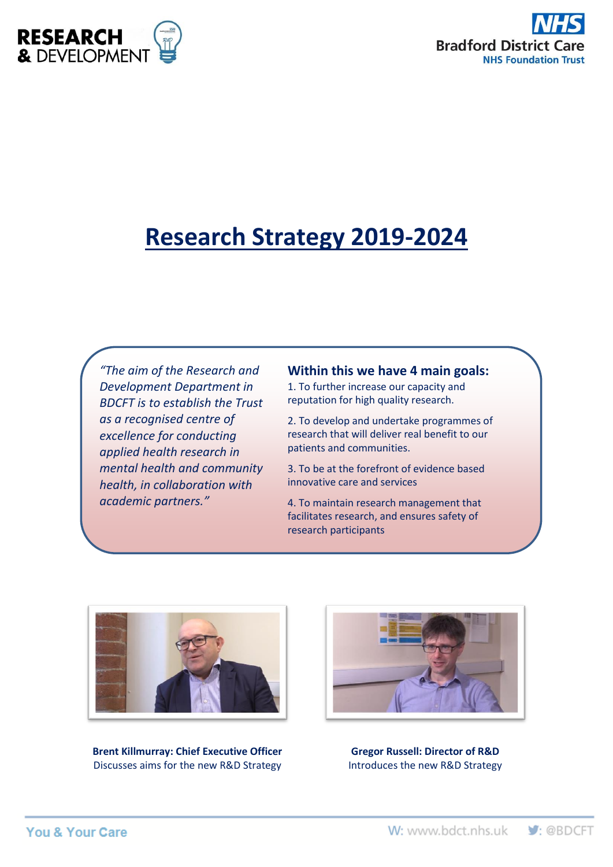



# **Research Strategy 2019-2024**

*"The aim of the Research and Development Department in BDCFT is to establish the Trust as a recognised centre of excellence for conducting applied health research in mental health and community health, in collaboration with academic partners."*

## **Within this we have 4 main goals:**

1. To further increase our capacity and reputation for high quality research.

2. To develop and undertake programmes of research that will deliver real benefit to our patients and communities.

3. To be at the forefront of evidence based innovative care and services

4. To maintain research management that facilitates research, and ensures safety of research participants



**Brent Killmurray: Chief Executive Officer** Discusses aims for the new R&D Strategy



**Gregor Russell: Director of R&D** Introduces the new R&D Strategy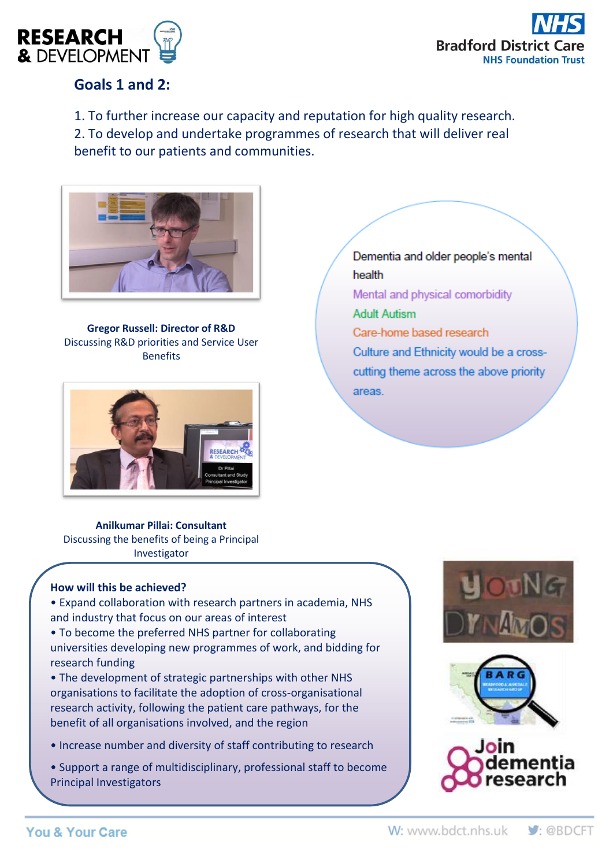



# **Goals 1 and 2:**

1. To further increase our capacity and reputation for high quality research.

2. To develop and undertake programmes of research that will deliver real benefit to our patients and communities.



**Gregor Russell: Director of R&D** Discussing R&D priorities and Service User Benefits



**Anilkumar Pillai: Consultant** Discussing the benefits of being a Principal Investigator

### **How will this be achieved?**

• Expand collaboration with research partners in academia, NHS and industry that focus on our areas of interest

• To become the preferred NHS partner for collaborating universities developing new programmes of work, and bidding for research funding

• The development of strategic partnerships with other NHS organisations to facilitate the adoption of cross-organisational research activity, following the patient care pathways, for the benefit of all organisations involved, and the region

• Increase number and diversity of staff contributing to research

• Support a range of multidisciplinary, professional staff to become Principal Investigators

Dementia and older people's mental health Mental and physical comorbidity **Adult Autism** Care-home based research Culture and Ethnicity would be a crosscutting theme across the above priority areas.





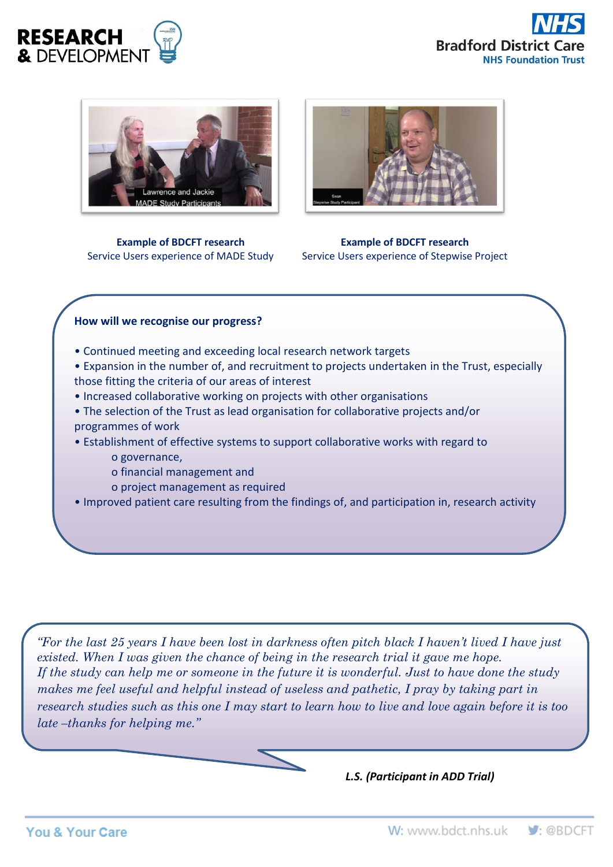





**Example of BDCFT research** Service Users experience of MADE Study



**Example of BDCFT research** Service Users experience of Stepwise Project

#### **How will we recognise our progress?**

- Continued meeting and exceeding local research network targets
- Expansion in the number of, and recruitment to projects undertaken in the Trust, especially those fitting the criteria of our areas of interest
- Increased collaborative working on projects with other organisations
- The selection of the Trust as lead organisation for collaborative projects and/or programmes of work
- Establishment of effective systems to support collaborative works with regard to o governance,
	- o financial management and
	- o project management as required
- Improved patient care resulting from the findings of, and participation in, research activity

*"For the last 25 years I have been lost in darkness often pitch black I haven't lived I have just existed. When I was given the chance of being in the research trial it gave me hope. If the study can help me or someone in the future it is wonderful. Just to have done the study makes me feel useful and helpful instead of useless and pathetic, I pray by taking part in research studies such as this one I may start to learn how to live and love again before it is too late –thanks for helping me."*

*L.S. (Participant in ADD Trial)*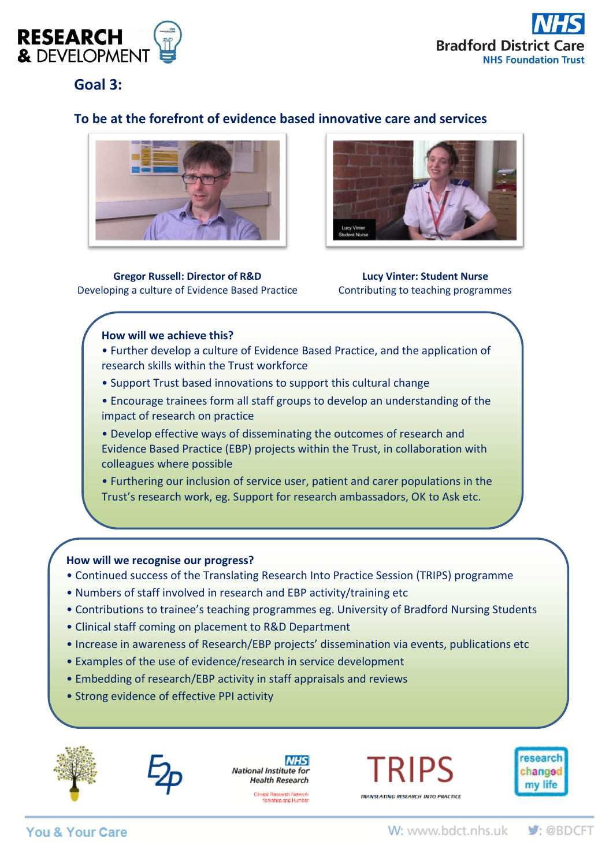



**Goal 3:** 

## **To be at the forefront of evidence based innovative care and services**



**Gregor Russell: Director of R&D** Developing a culture of Evidence Based Practice



**Lucy Vinter: Student Nurse** Contributing to teaching programmes

#### **How will we achieve this?**

- Further develop a culture of Evidence Based Practice, and the application of research skills within the Trust workforce
- Support Trust based innovations to support this cultural change
- Encourage trainees form all staff groups to develop an understanding of the impact of research on practice

• Develop effective ways of disseminating the outcomes of research and Evidence Based Practice (EBP) projects within the Trust, in collaboration with colleagues where possible

• Furthering our inclusion of service user, patient and carer populations in the Trust's research work, eg. Support for research ambassadors, OK to Ask etc.

#### **How will we recognise our progress?**

- Continued success of the Translating Research Into Practice Session (TRIPS) programme
- Numbers of staff involved in research and EBP activity/training etc
- Contributions to trainee's teaching programmes eg. University of Bradford Nursing Students
- Clinical staff coming on placement to R&D Department
- Increase in awareness of Research/EBP projects' dissemination via events, publications etc
- Examples of the use of evidence/research in service development
- Embedding of research/EBP activity in staff appraisals and reviews
- Strong evidence of effective PPI activity





**NHS** National Institute for **Health Research** 

Clinical Research Network<br>Yarkshire and Humber

**RIPS** 

TRANSLATING RESEARCH INTO PRACTICE